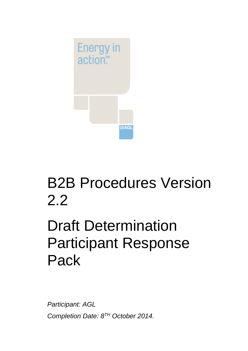

## B2B Procedures Version 2.2

# Draft Determination Participant Response Pack

*Participant: AGL Completion Date: 8 TH October 2014.*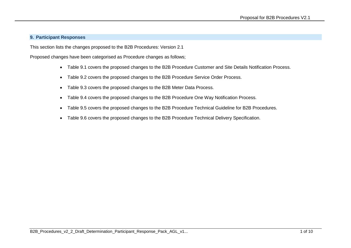#### **9. Participant Responses**

This section lists the changes proposed to the B2B Procedures: Version 2.1

Proposed changes have been categorised as Procedure changes as follows;

- Table 9.1 covers the proposed changes to the B2B Procedure Customer and Site Details Notification Process.
- Table 9.2 covers the proposed changes to the B2B Procedure Service Order Process.
- Table 9.3 covers the proposed changes to the B2B Meter Data Process.
- Table 9.4 covers the proposed changes to the B2B Procedure One Way Notification Process.
- Table 9.5 covers the proposed changes to the B2B Procedure Technical Guideline for B2B Procedures.
- Table 9.6 covers the proposed changes to the B2B Procedure Technical Delivery Specification.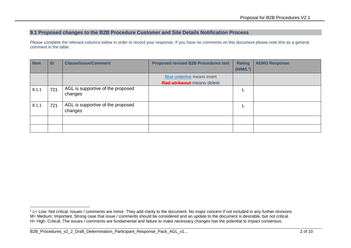#### **9.1 Proposed changes to the B2B Procedure Customer and Site Details Notification Process**

Please complete the relevant columns below in order to record your response. If you have no comments on this document please note this as a general comment in the table.

| <b>Item</b> | ID  | <b>Clause/Issue/Comment</b>                  | <b>Proposed revised B2B Procedures text</b> | <b>Rating</b><br>$(H/M/L^1)$ | <b>AEMO Response</b> |
|-------------|-----|----------------------------------------------|---------------------------------------------|------------------------------|----------------------|
|             |     |                                              | Blue underline means insert                 |                              |                      |
|             |     |                                              | <b>Red strikeout</b> means delete           |                              |                      |
| 8.1.1       | 721 | AGL is supportive of the proposed<br>changes |                                             |                              |                      |
| 8.1.1       | 721 | AGL is supportive of the proposed<br>changes |                                             |                              |                      |
|             |     |                                              |                                             |                              |                      |
|             |     |                                              |                                             |                              |                      |

-

 $1$  L= Low: Not critical. Issues / comments are minor. They add clarity to the document. No major concern if not included in any further revisions M= Medium: Important. Strong case that issue / comments should be considered and an update to the document is desirable, but not critical. H= High: Critical. The issues / comments are fundamental and failure to make necessary changes has the potential to impact consensus.

B2B\_Procedures\_v2\_2\_Draft\_Determination\_Participant\_Response\_Pack\_AGL\_v1... 2 of 10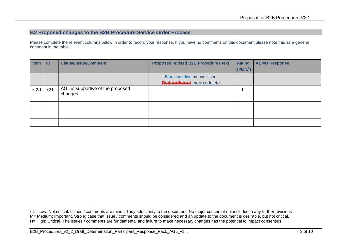#### **9.2 Proposed changes to the B2B Procedure Service Order Process**

Please complete the relevant columns below in order to record your response. If you have no comments on this document please note this as a general comment in the table.

| <b>Item</b> | ID  | <b>Clause/Issue/Comment</b>                  | <b>Proposed revised B2B Procedures text</b> | <b>Rating</b>         | <b>AEMO Response</b> |
|-------------|-----|----------------------------------------------|---------------------------------------------|-----------------------|----------------------|
|             |     |                                              |                                             | (H/M/L <sup>2</sup> ) |                      |
|             |     |                                              | Blue underline means insert                 |                       |                      |
|             |     |                                              | <b>Red strikeout</b> means delete           |                       |                      |
| 8.2.1       | 721 | AGL is supportive of the proposed<br>changes |                                             |                       |                      |
|             |     |                                              |                                             |                       |                      |
|             |     |                                              |                                             |                       |                      |
|             |     |                                              |                                             |                       |                      |

<sup>-</sup> $2$  L= Low: Not critical. Issues / comments are minor. They add clarity to the document. No major concern if not included in any further revisions M= Medium: Important. Strong case that issue / comments should be considered and an update to the document is desirable, but not critical. H= High: Critical. The issues / comments are fundamental and failure to make necessary changes has the potential to impact consensus.

B2B\_Procedures\_v2\_2\_Draft\_Determination\_Participant\_Response\_Pack\_AGL\_v1... 4 of 10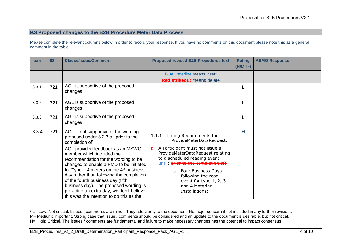### **9.3 Proposed changes to the B2B Procedure Meter Data Process**

Please complete the relevant columns below in order to record your response. If you have no comments on this document please note this as a general comment in the table.

| <b>Item</b> | ID  | <b>Clause/Issue/Comment</b>                                                                                                                                                                                                                                                                                                                                                                                      | <b>Proposed revised B2B Procedures text</b>                                                                                                                                                                                                                 | <b>Rating</b><br>$(H/M/L^3)$ | <b>AEMO Response</b> |
|-------------|-----|------------------------------------------------------------------------------------------------------------------------------------------------------------------------------------------------------------------------------------------------------------------------------------------------------------------------------------------------------------------------------------------------------------------|-------------------------------------------------------------------------------------------------------------------------------------------------------------------------------------------------------------------------------------------------------------|------------------------------|----------------------|
|             |     |                                                                                                                                                                                                                                                                                                                                                                                                                  | Blue underline means insert<br><b>Red strikeout</b> means delete                                                                                                                                                                                            |                              |                      |
| 8.3.1       | 721 | AGL is supportive of the proposed<br>changes                                                                                                                                                                                                                                                                                                                                                                     |                                                                                                                                                                                                                                                             |                              |                      |
| 8.3.2       | 721 | AGL is supportive of the proposed<br>changes                                                                                                                                                                                                                                                                                                                                                                     |                                                                                                                                                                                                                                                             |                              |                      |
| 8.3.3       | 721 | AGL is supportive of the proposed<br>changes                                                                                                                                                                                                                                                                                                                                                                     |                                                                                                                                                                                                                                                             |                              |                      |
| 8.3.4       | 721 | AGL is not supportive of the wording<br>proposed under 3.2.3 a. 'prior to the<br>completion of'                                                                                                                                                                                                                                                                                                                  | Timing Requirements for<br>1.1.1<br>ProvideMeterDataRequest.                                                                                                                                                                                                | н                            |                      |
|             |     | AGL provided feedback as an MSWG<br>member which included the<br>recommendation for the wording to be<br>changed to enable a PMD to be initiated<br>for Type 1-4 meters on the $4th$ business<br>day rather than following the completion<br>of the fourth business day (fifth<br>business day). The proposed wording is<br>providing an extra day, we don't believe<br>this was the intention to do this as the | A Participant must not issue a<br>a.<br>ProvideMeterDataRequest relating<br>to a scheduled reading event<br>until: prior to the completion of:<br>a. Four Business Days<br>following the read<br>event for type 1, 2, 3<br>and 4 Metering<br>Installations; |                              |                      |

<sup>&</sup>lt;sup>3</sup> L= Low: Not critical. Issues / comments are minor. They add clarity to the document. No major concern if not included in any further revisions M= Medium: Important. Strong case that issue / comments should be considered and an update to the document is desirable, but not critical. H= High: Critical. The issues / comments are fundamental and failure to make necessary changes has the potential to impact consensus.

-

B2B\_Procedures\_v2\_2\_Draft\_Determination\_Participant\_Response\_Pack\_AGL\_v1... 4 of 10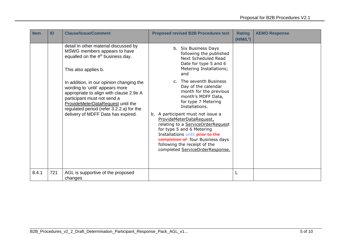| <b>Item</b> | ID  | <b>Clause/Issue/Comment</b>                                                                                                                                                                                                                                                                                                                                                                                                    | <b>Proposed revised B2B Procedures text</b>                                                                                                                                                                                                                                                                                                                                                                                                                                                                                                                | <b>Rating</b><br>$(H/M/L^3)$ | <b>AEMO Response</b> |
|-------------|-----|--------------------------------------------------------------------------------------------------------------------------------------------------------------------------------------------------------------------------------------------------------------------------------------------------------------------------------------------------------------------------------------------------------------------------------|------------------------------------------------------------------------------------------------------------------------------------------------------------------------------------------------------------------------------------------------------------------------------------------------------------------------------------------------------------------------------------------------------------------------------------------------------------------------------------------------------------------------------------------------------------|------------------------------|----------------------|
|             |     | detail in other material discussed by<br>MSWG members appears to have<br>equalled on the 4 <sup>th</sup> business day.<br>This also applies b.<br>In addition, in our opinion changing the<br>wording to 'until' appears more<br>appropriate to align with clause 2.9e A<br>participant must not send a<br>ProvideMeterDataRequest until the<br>regulated period (refer 3.2.2.a) for the<br>delivery of MDFF Data has expired. | b. Six Business Days<br>following the published<br>Next Scheduled Read<br>Date for type 5 and 6<br>Metering Installations;<br>and<br>c. The seventh Business<br>Day of the calendar<br>month for the previous<br>month's MDFF Data,<br>for type 7 Metering<br>Installations.<br>b. A participant must not issue a<br>ProvideMeterDataRequest,<br>relating to a ServiceOrderRequest<br>for type 5 and 6 Metering<br>Installations until prior to the<br>completion of four Business days<br>following the receipt of the<br>completed ServiceOrderResponse. |                              |                      |
| 8.4.1       | 721 | AGL is supportive of the proposed<br>changes                                                                                                                                                                                                                                                                                                                                                                                   |                                                                                                                                                                                                                                                                                                                                                                                                                                                                                                                                                            |                              |                      |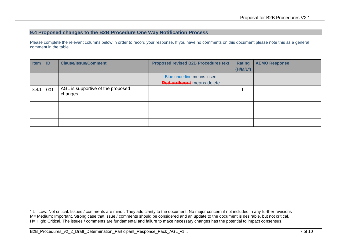### **9.4 Proposed changes to the B2B Procedure One Way Notification Process**

Please complete the relevant columns below in order to record your response. If you have no comments on this document please note this as a general comment in the table.

| <b>Item</b> | ID  | <b>Clause/Issue/Comment</b>                  | <b>Proposed revised B2B Procedures text</b> | <b>Rating</b>         | <b>AEMO Response</b> |
|-------------|-----|----------------------------------------------|---------------------------------------------|-----------------------|----------------------|
|             |     |                                              |                                             | (H/M/L <sup>4</sup> ) |                      |
|             |     |                                              | Blue underline means insert                 |                       |                      |
|             |     |                                              | <b>Red strikeout</b> means delete           |                       |                      |
| 8.4.1       | 001 | AGL is supportive of the proposed<br>changes |                                             |                       |                      |
|             |     |                                              |                                             |                       |                      |
|             |     |                                              |                                             |                       |                      |
|             |     |                                              |                                             |                       |                      |

-

<sup>&</sup>lt;sup>4</sup> L= Low: Not critical. Issues / comments are minor. They add clarity to the document. No major concern if not included in any further revisions M= Medium: Important. Strong case that issue / comments should be considered and an update to the document is desirable, but not critical. H= High: Critical. The issues / comments are fundamental and failure to make necessary changes has the potential to impact consensus.

B2B\_Procedures\_v2\_2\_Draft\_Determination\_Participant\_Response\_Pack\_AGL\_v1... 4 and 10 of 10 of 10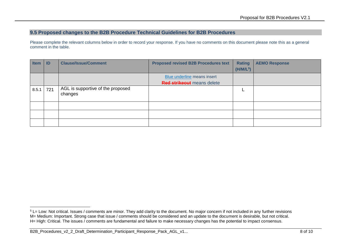#### **9.5 Proposed changes to the B2B Procedure Technical Guidelines for B2B Procedures**

Please complete the relevant columns below in order to record your response. If you have no comments on this document please note this as a general comment in the table.

| <b>Item</b> | ID  | <b>Clause/Issue/Comment</b>                  | <b>Proposed revised B2B Procedures text</b> | <b>Rating</b>         | <b>AEMO Response</b> |
|-------------|-----|----------------------------------------------|---------------------------------------------|-----------------------|----------------------|
|             |     |                                              |                                             | (H/M/L <sup>5</sup> ) |                      |
|             |     |                                              | Blue underline means insert                 |                       |                      |
|             |     |                                              | <b>Red strikeout</b> means delete           |                       |                      |
| 8.5.1       | 721 | AGL is supportive of the proposed<br>changes |                                             |                       |                      |
|             |     |                                              |                                             |                       |                      |
|             |     |                                              |                                             |                       |                      |
|             |     |                                              |                                             |                       |                      |

<sup>-</sup> $5$  L= Low: Not critical. Issues / comments are minor. They add clarity to the document. No major concern if not included in any further revisions M= Medium: Important. Strong case that issue / comments should be considered and an update to the document is desirable, but not critical. H= High: Critical. The issues / comments are fundamental and failure to make necessary changes has the potential to impact consensus.

B2B\_Procedures\_v2\_2\_Draft\_Determination\_Participant\_Response\_Pack\_AGL\_v1... 4 of 10